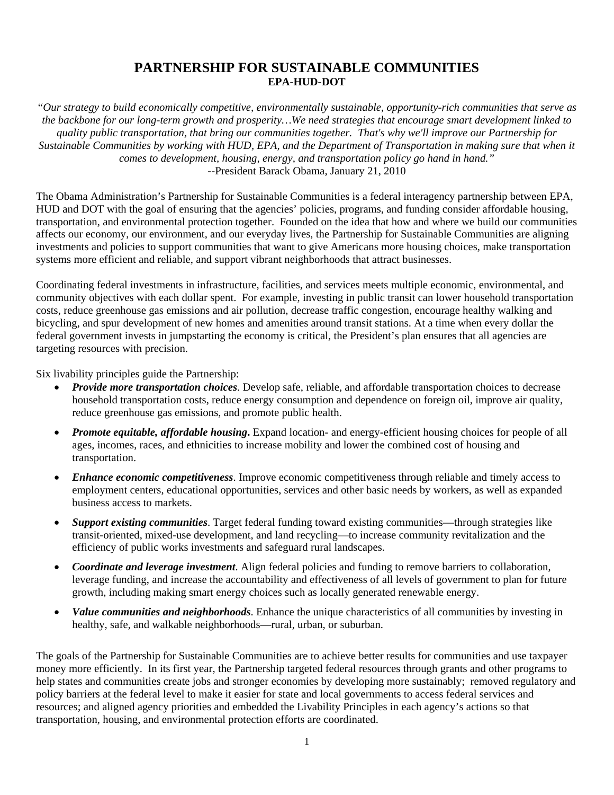## **PARTNERSHIP FOR SUSTAINABLE COMMUNITIES EPA-HUD-DOT**

*"Our strategy to build economically competitive, environmentally sustainable, opportunity-rich communities that serve as the backbone for our long-term growth and prosperity…We need strategies that encourage smart development linked to quality public transportation, that bring our communities together. That's why we'll improve our Partnership for Sustainable Communities by working with HUD, EPA, and the Department of Transportation in making sure that when it comes to development, housing, energy, and transportation policy go hand in hand."*  --President Barack Obama, January 21, 2010

The Obama Administration's Partnership for Sustainable Communities is a federal interagency partnership between EPA, HUD and DOT with the goal of ensuring that the agencies' policies, programs, and funding consider affordable housing, transportation, and environmental protection together. Founded on the idea that how and where we build our communities affects our economy, our environment, and our everyday lives, the Partnership for Sustainable Communities are aligning investments and policies to support communities that want to give Americans more housing choices, make transportation systems more efficient and reliable, and support vibrant neighborhoods that attract businesses.

Coordinating federal investments in infrastructure, facilities, and services meets multiple economic, environmental, and community objectives with each dollar spent. For example, investing in public transit can lower household transportation costs, reduce greenhouse gas emissions and air pollution, decrease traffic congestion, encourage healthy walking and bicycling, and spur development of new homes and amenities around transit stations. At a time when every dollar the federal government invests in jumpstarting the economy is critical, the President's plan ensures that all agencies are targeting resources with precision.

Six livability principles guide the Partnership:

- *Provide more transportation choices*. Develop safe, reliable, and affordable transportation choices to decrease household transportation costs, reduce energy consumption and dependence on foreign oil, improve air quality, reduce greenhouse gas emissions, and promote public health.
- *Promote equitable, affordable housing***.** Expand location- and energy-efficient housing choices for people of all ages, incomes, races, and ethnicities to increase mobility and lower the combined cost of housing and transportation.
- *Enhance economic competitiveness*. Improve economic competitiveness through reliable and timely access to employment centers, educational opportunities, services and other basic needs by workers, as well as expanded business access to markets.
- *Support existing communities*. Target federal funding toward existing communities—through strategies like transit-oriented, mixed-use development, and land recycling—to increase community revitalization and the efficiency of public works investments and safeguard rural landscapes.
- *Coordinate and leverage investment*. Align federal policies and funding to remove barriers to collaboration, leverage funding, and increase the accountability and effectiveness of all levels of government to plan for future growth, including making smart energy choices such as locally generated renewable energy.
- *Value communities and neighborhoods*. Enhance the unique characteristics of all communities by investing in healthy, safe, and walkable neighborhoods—rural, urban, or suburban.

The goals of the Partnership for Sustainable Communities are to achieve better results for communities and use taxpayer money more efficiently. In its first year, the Partnership targeted federal resources through grants and other programs to help states and communities create jobs and stronger economies by developing more sustainably; removed regulatory and policy barriers at the federal level to make it easier for state and local governments to access federal services and resources; and aligned agency priorities and embedded the Livability Principles in each agency's actions so that transportation, housing, and environmental protection efforts are coordinated.